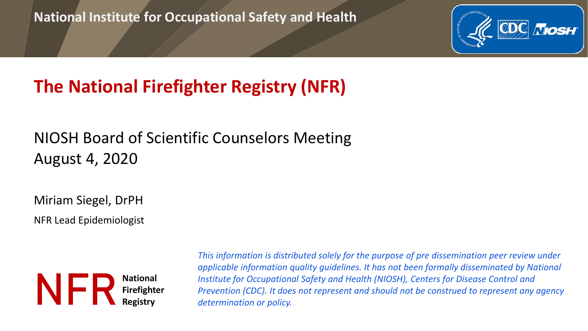### **National Institute for Occupational Safety and Health**



## **The National Firefighter Registry (NFR)**

## NIOSH Board of Scientific Counselors Meeting August 4, 2020

Miriam Siegel, DrPH

NFR Lead Epidemiologist



*This information is distributed solely for the purpose of pre dissemination peer review under applicable information quality guidelines. It has not been formally disseminated by National Institute for Occupational Safety and Health (NIOSH), Centers for Disease Control and Prevention (CDC). It does not represent and should not be construed to represent any agency determination or policy.*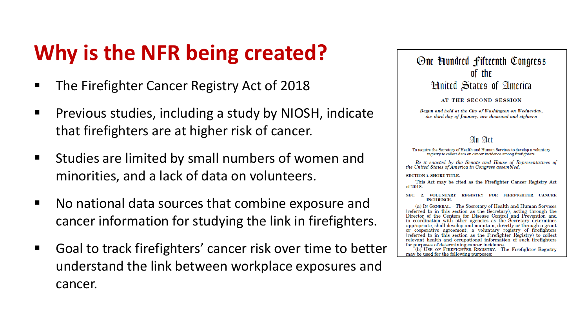# **Why is the NFR being created?**

- **The Firefighter Cancer Registry Act of 2018**
- **Previous studies, including a study by NIOSH, indicate** that firefighters are at higher risk of cancer.
- **E** Studies are limited by small numbers of women and minorities, and a lack of data on volunteers.
- No national data sources that combine exposure and cancer information for studying the link in firefighters.
- Goal to track firefighters' cancer risk over time to better understand the link between workplace exposures and cancer.



#### AT THE SECOND SESSION

Begun and held at the City of Washington on Wednesday, the third day of January, two thousand and eighteen

### $An$   $Ar$

To require the Secretary of Health and Human Services to develop a voluntary registry to collect data on cancer incidence among firefighters.

Be it enacted by the Senate and House of Representatives of the United States of America in Congress assembled,

#### **SECTION 1. SHORT TITLE.**

This Act may be cited as the Firefighter Cancer Registry Act of 2018.

SEC. 2. VOLUNTARY REGISTRY FOR FIREFIGHTER CANCER **INCIDENCE.** 

(a) IN GENERAL.-The Secretary of Health and Human Services (referred to in this section as the Secretary), acting through the Director of the Centers for Disease Control and Prevention and in coordination with other agencies as the Secretary determines appropriate, shall develop and maintain, directly or through a grant or cooperative agreement, a voluntary registry of firefighters (referred to in this section as the Firefighter Registry) to collect relevant health and occupational information of such firefighters for purposes of determining cancer incidence.

(b) USE OF FIREFIGHTER REGISTRY.—The Firefighter Registry may be used for the following purposes: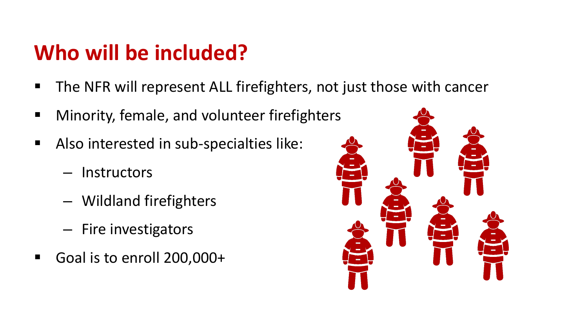# **Who will be included?**

- The NFR will represent ALL firefighters, not just those with cancer
- **Minority, female, and volunteer firefighters**
- Also interested in sub-specialties like:
	- Instructors
	- Wildland firefighters
	- Fire investigators
- Goal is to enroll 200,000+

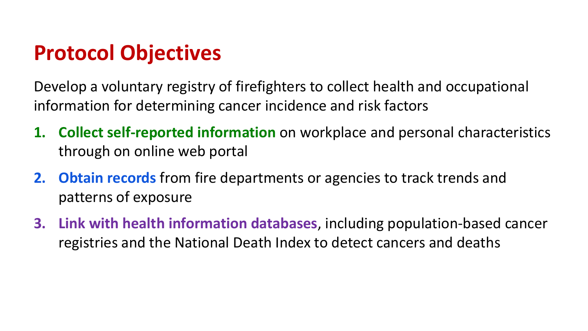# **Protocol Objectives**

Develop a voluntary registry of firefighters to collect health and occupational information for determining cancer incidence and risk factors

- **1. Collect self-reported information** on workplace and personal characteristics through on online web portal
- **2. Obtain records** from fire departments or agencies to track trends and patterns of exposure
- **3. Link with health information databases**, including population-based cancer registries and the National Death Index to detect cancers and deaths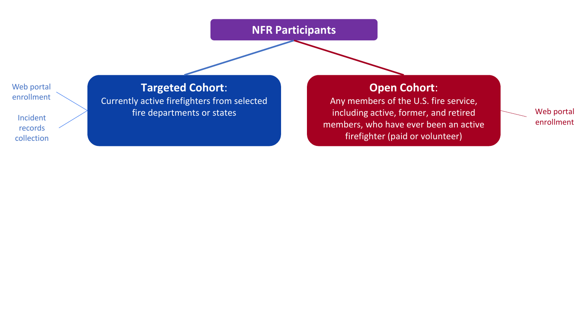### **NFR Participants**

Web portal enrollment

Incident records collection

**Targeted Cohort**: Currently active firefighters from selected fire departments or states

**Open Cohort**:

Any members of the U.S. fire service, including active, former, and retired members, who have ever been an active firefighter (paid or volunteer)

Web portal enrollment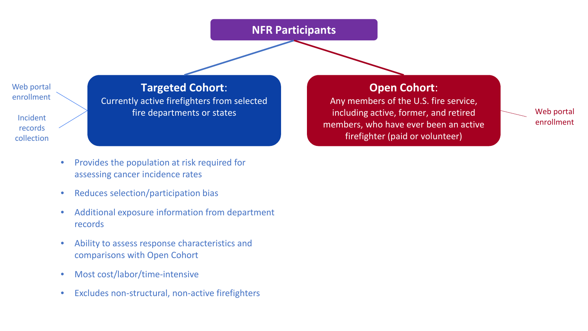### **NFR Participants**

Web portal enrollment

Incident records collection

**Targeted Cohort**: Currently active firefighters from selected fire departments or states

• Provides the population at risk required for

- assessing cancer incidence rates
- Reduces selection/participation bias
- Additional exposure information from department records
- Ability to assess response characteristics and comparisons with Open Cohort
- Most cost/labor/time-intensive
- Excludes non-structural, non-active firefighters

**Open Cohort**:

Any members of the U.S. fire service, including active, former, and retired members, who have ever been an active firefighter (paid or volunteer)

Web portal enrollment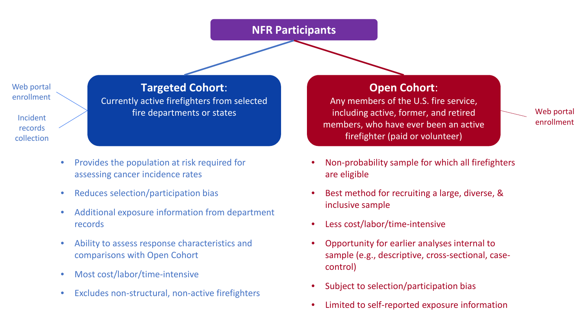### **NFR Participants**

Web portal enrollment

Incident records collection

**Targeted Cohort**: Currently active firefighters from selected fire departments or states

- Provides the population at risk required for assessing cancer incidence rates
- Reduces selection/participation bias
- Additional exposure information from department records
- Ability to assess response characteristics and comparisons with Open Cohort
- Most cost/labor/time-intensive
- Excludes non-structural, non-active firefighters

### **Open Cohort**:

Any members of the U.S. fire service, including active, former, and retired members, who have ever been an active firefighter (paid or volunteer)

Web portal enrollment

- Non-probability sample for which all firefighters are eligible
- Best method for recruiting a large, diverse, & inclusive sample
- Less cost/labor/time-intensive
- Opportunity for earlier analyses internal to sample (e.g., descriptive, cross-sectional, casecontrol)
- Subject to selection/participation bias
- Limited to self-reported exposure information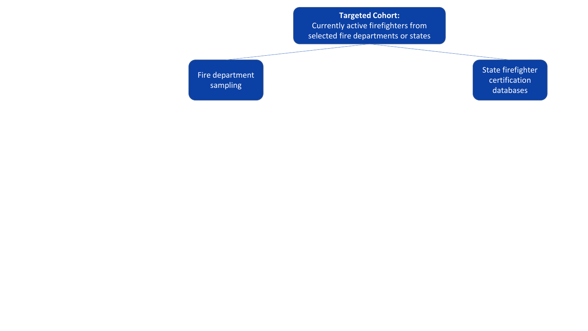Fire department sampling

State firefighter certification databases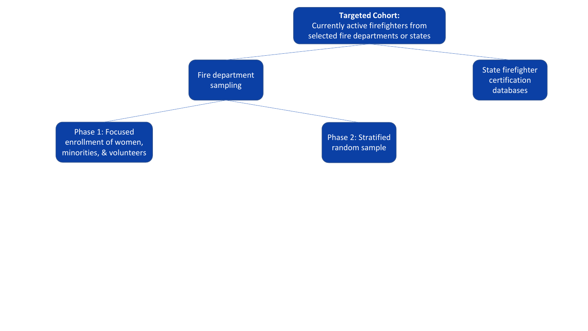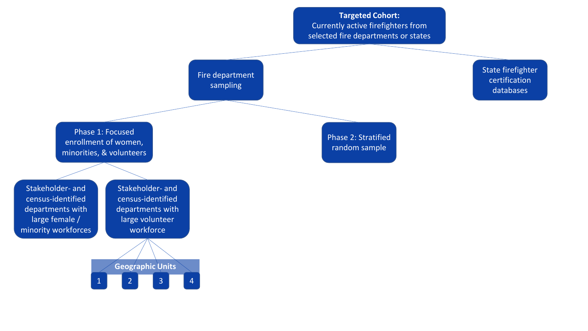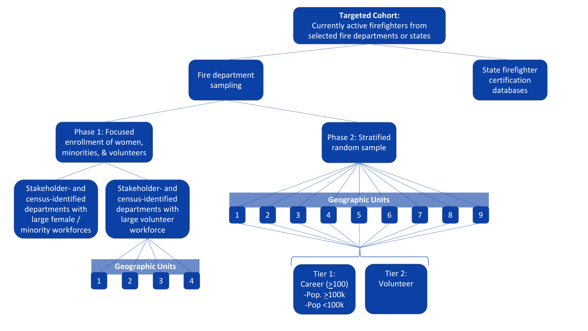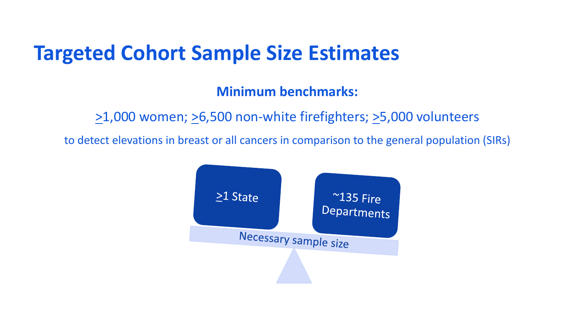## **Targeted Cohort Sample Size Estimates**

## **Minimum benchmarks:**

 $\geq$ 1,000 women;  $\geq$ 6,500 non-white firefighters;  $\geq$ 5,000 volunteers

to detect elevations in breast or all cancers in comparison to the general population (SIRs)

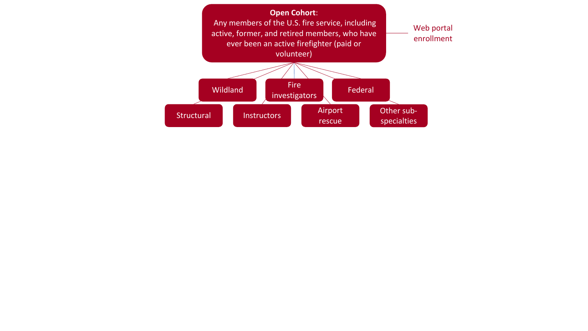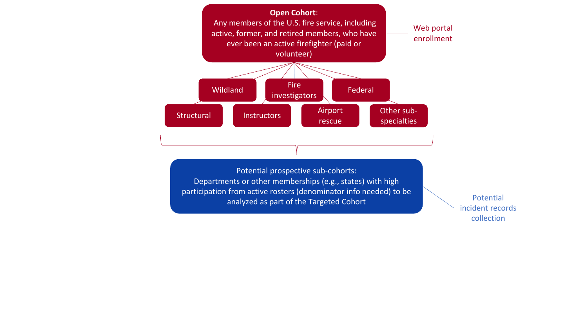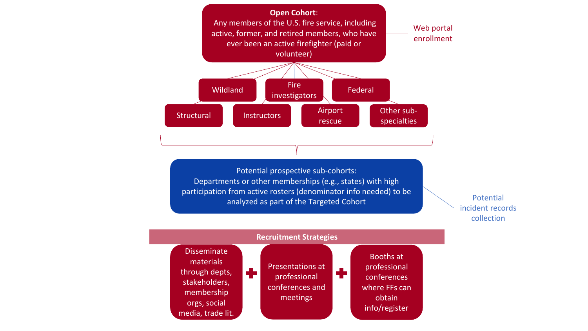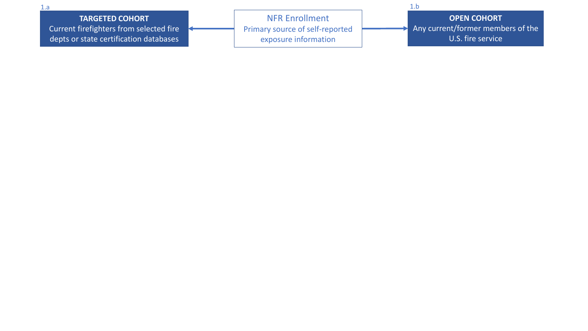1.a 1.b

### **TARGETED COHORT**

Current firefighters from selected fire depts or state certification databases

NFR Enrollment Primary source of self-reported exposure information

**OPEN COHORT** Any current/former members of the U.S. fire service

N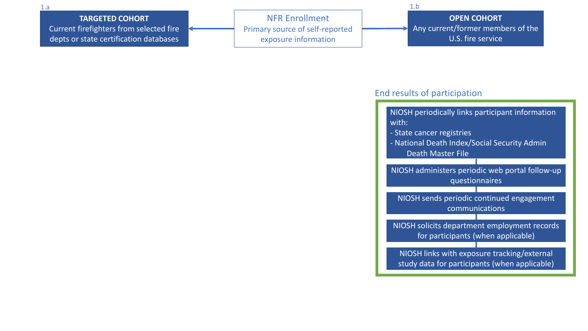### **TARGETED COHORT** Current firefighters from selected fire

depts or state certification databases

NFR Enrollment Primary source of self-reported exposure information

1.a 1.b

**OPEN COHORT** Any current/former members of the U.S. fire service

### End results of participation

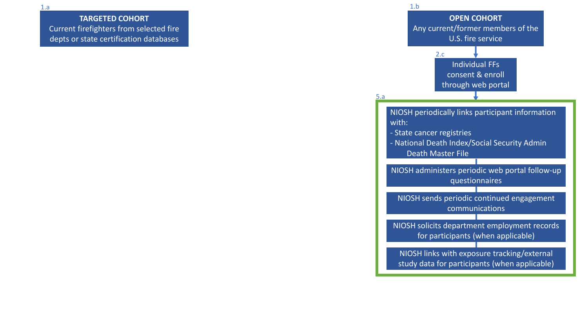**TARGETED COHORT** Current firefighters from selected fire depts or state certification databases

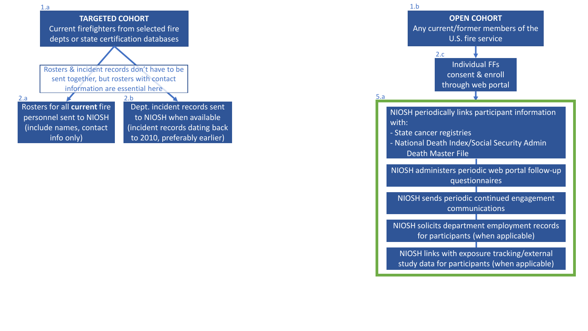

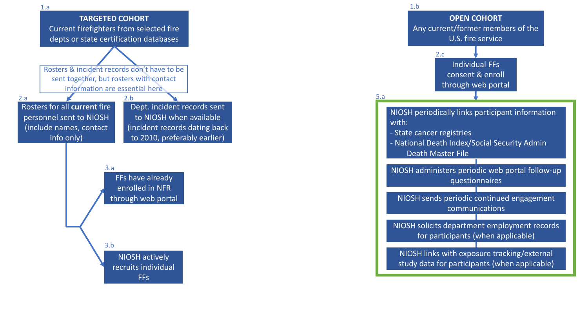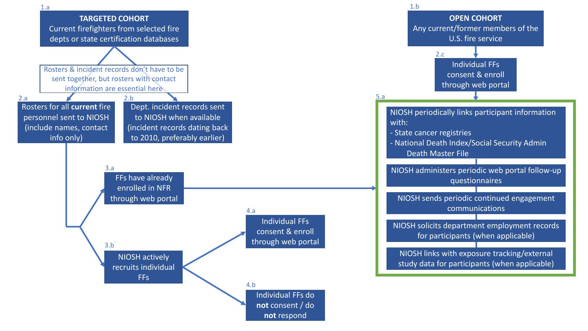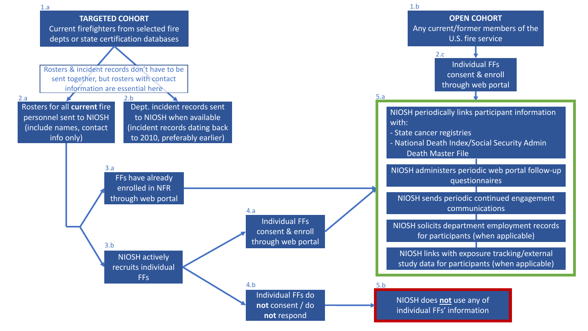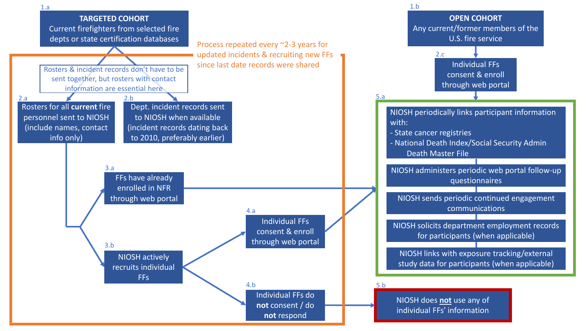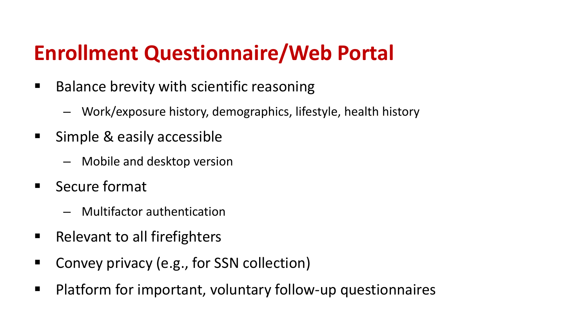# **Enrollment Questionnaire/Web Portal**

- Balance brevity with scientific reasoning
	- Work/exposure history, demographics, lifestyle, health history
- **Simple & easily accessible** 
	- Mobile and desktop version
- Secure format
	- Multifactor authentication
- Relevant to all firefighters
- Convey privacy (e.g., for SSN collection)
- **Platform for important, voluntary follow-up questionnaires**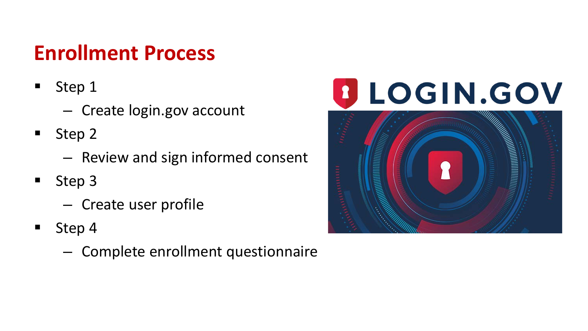# **Enrollment Process**

- **Step 1** 
	- Create login.gov account
- **Step 2** 
	- Review and sign informed consent
- **Step 3** 
	- Create user profile
- $\blacksquare$  Step 4
	- Complete enrollment questionnaire

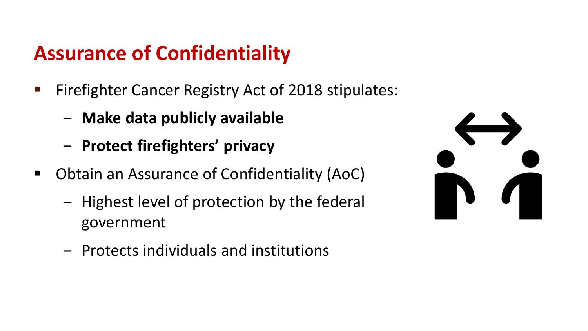## **Assurance of Confidentiality**

- Firefighter Cancer Registry Act of 2018 stipulates:
	- ‒ **Make data publicly available**
	- ‒ **Protect firefighters' privacy**
- Obtain an Assurance of Confidentiality (AoC)
	- Highest level of protection by the federal government
	- ‒ Protects individuals and institutions

| $\blacksquare$ | $\blacksquare$ |
|----------------|----------------|
|                |                |
| T              |                |
|                |                |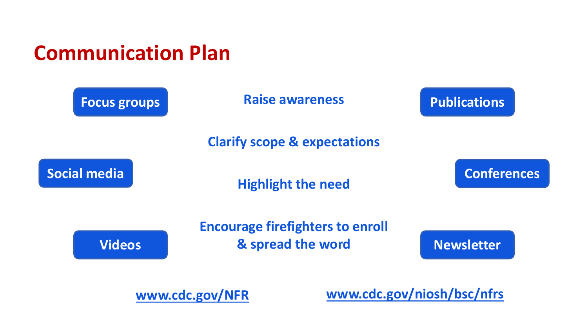



**[www.cdc.gov/NFR](http://www.cdc.gov/NFR)**

**[www.cdc.gov/niosh/bsc/nfrs](http://www.cdc.gov/niosh/bsc/nfrs)**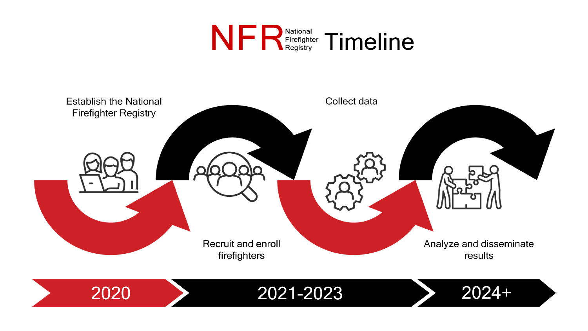



2021-2023